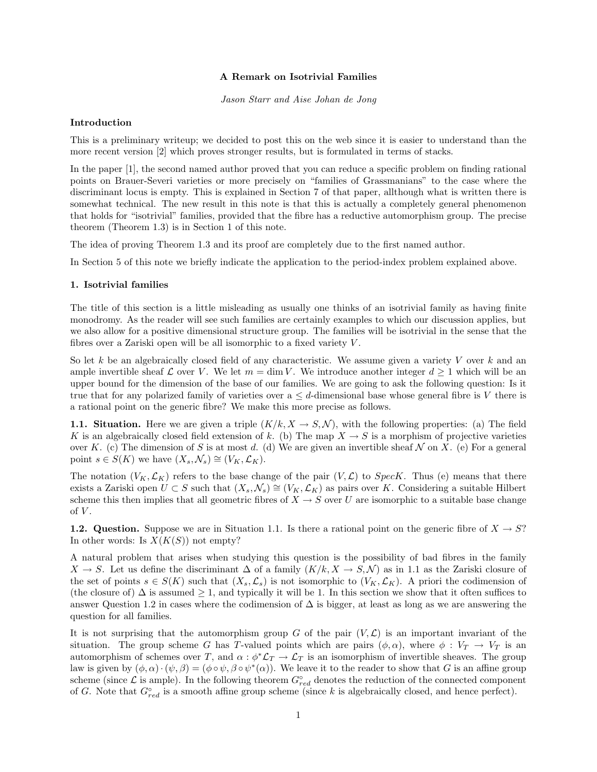# A Remark on Isotrivial Families

Jason Starr and Aise Johan de Jong

### Introduction

This is a preliminary writeup; we decided to post this on the web since it is easier to understand than the more recent version [2] which proves stronger results, but is formulated in terms of stacks.

In the paper [1], the second named author proved that you can reduce a specific problem on finding rational points on Brauer-Severi varieties or more precisely on "families of Grassmanians" to the case where the discriminant locus is empty. This is explained in Section 7 of that paper, allthough what is written there is somewhat technical. The new result in this note is that this is actually a completely general phenomenon that holds for "isotrivial" families, provided that the fibre has a reductive automorphism group. The precise theorem (Theorem 1.3) is in Section 1 of this note.

The idea of proving Theorem 1.3 and its proof are completely due to the first named author.

In Section 5 of this note we briefly indicate the application to the period-index problem explained above.

#### 1. Isotrivial families

The title of this section is a little misleading as usually one thinks of an isotrivial family as having finite monodromy. As the reader will see such families are certainly examples to which our discussion applies, but we also allow for a positive dimensional structure group. The families will be isotrivial in the sense that the fibres over a Zariski open will be all isomorphic to a fixed variety V .

So let k be an algebraically closed field of any characteristic. We assume given a variety V over k and an ample invertible sheaf  $\mathcal L$  over V. We let  $m = \dim V$ . We introduce another integer  $d \geq 1$  which will be an upper bound for the dimension of the base of our families. We are going to ask the following question: Is it true that for any polarized family of varieties over  $a \leq d$ -dimensional base whose general fibre is V there is a rational point on the generic fibre? We make this more precise as follows.

1.1. Situation. Here we are given a triple  $(K/k, X \rightarrow S, \mathcal{N})$ , with the following properties: (a) The field K is an algebraically closed field extension of k. (b) The map  $X \to S$  is a morphism of projective varieties over K. (c) The dimension of S is at most d. (d) We are given an invertible sheaf N on X. (e) For a general point  $s \in S(K)$  we have  $(X_s, \mathcal{N}_s) \cong (V_K, \mathcal{L}_K)$ .

The notation  $(V_K, \mathcal{L}_K)$  refers to the base change of the pair  $(V, \mathcal{L})$  to SpecK. Thus (e) means that there exists a Zariski open  $U \subset S$  such that  $(X_s, \mathcal{N}_s) \cong (V_K, \mathcal{L}_K)$  as pairs over K. Considering a suitable Hilbert scheme this then implies that all geometric fibres of  $X \to S$  over U are isomorphic to a suitable base change of  $V$ .

**1.2. Question.** Suppose we are in Situation 1.1. Is there a rational point on the generic fibre of  $X \to S$ ? In other words: Is  $X(K(S))$  not empty?

A natural problem that arises when studying this question is the possibility of bad fibres in the family  $X \to S$ . Let us define the discriminant  $\Delta$  of a family  $(K/k, X \to S, \mathcal{N})$  as in 1.1 as the Zariski closure of the set of points  $s \in S(K)$  such that  $(X_s, \mathcal{L}_s)$  is not isomorphic to  $(V_K, \mathcal{L}_K)$ . A priori the codimension of (the closure of)  $\Delta$  is assumed  $\geq 1$ , and typically it will be 1. In this section we show that it often suffices to answer Question 1.2 in cases where the codimension of  $\Delta$  is bigger, at least as long as we are answering the question for all families.

It is not surprising that the automorphism group G of the pair  $(V, \mathcal{L})$  is an important invariant of the situation. The group scheme G has T-valued points which are pairs  $(\phi, \alpha)$ , where  $\phi : V_T \to V_T$  is an automorphism of schemes over T, and  $\alpha : \phi^* \mathcal{L}_T \to \mathcal{L}_T$  is an isomorphism of invertible sheaves. The group law is given by  $(\phi, \alpha) \cdot (\psi, \beta) = (\phi \circ \psi, \beta \circ \psi^*(\alpha))$ . We leave it to the reader to show that G is an affine group scheme (since  $\mathcal L$  is ample). In the following theorem  $G^{\circ}_{red}$  denotes the reduction of the connected component of G. Note that  $G_{red}^{\circ}$  is a smooth affine group scheme (since k is algebraically closed, and hence perfect).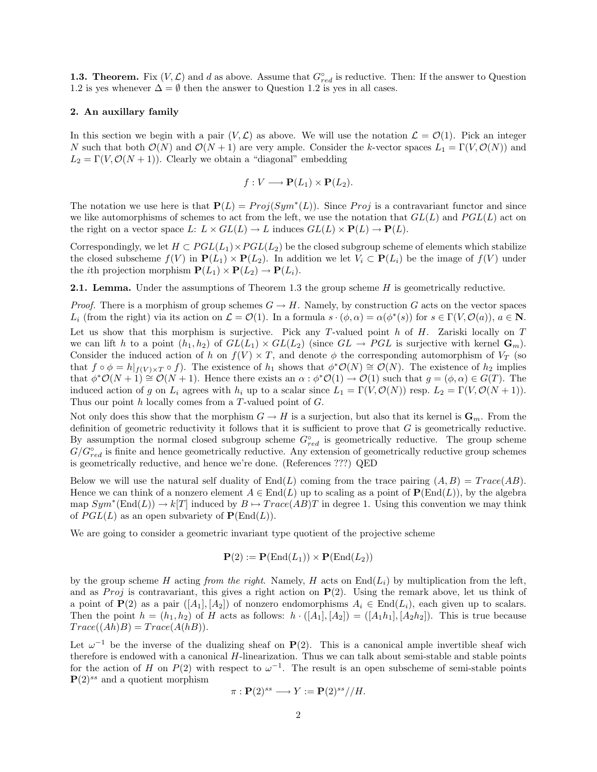**1.3. Theorem.** Fix  $(V, \mathcal{L})$  and d as above. Assume that  $G_{red}^{\circ}$  is reductive. Then: If the answer to Question 1.2 is yes whenever  $\Delta = \emptyset$  then the answer to Question 1.2 is yes in all cases.

## 2. An auxillary family

In this section we begin with a pair  $(V, \mathcal{L})$  as above. We will use the notation  $\mathcal{L} = \mathcal{O}(1)$ . Pick an integer N such that both  $\mathcal{O}(N)$  and  $\mathcal{O}(N+1)$  are very ample. Consider the k-vector spaces  $L_1 = \Gamma(V, \mathcal{O}(N))$  and  $L_2 = \Gamma(V, \mathcal{O}(N+1))$ . Clearly we obtain a "diagonal" embedding

$$
f: V \longrightarrow \mathbf{P}(L_1) \times \mathbf{P}(L_2).
$$

The notation we use here is that  $P(L) = Proj(Sym^*(L))$ . Since Proj is a contravariant functor and since we like automorphisms of schemes to act from the left, we use the notation that  $GL(L)$  and  $PGL(L)$  act on the right on a vector space L:  $L \times GL(L) \to L$  induces  $GL(L) \times {\bf P}(L) \to {\bf P}(L)$ .

Correspondingly, we let  $H \subset PGL(L_1) \times PGL(L_2)$  be the closed subgroup scheme of elements which stabilize the closed subscheme  $f(V)$  in  $P(L_1) \times P(L_2)$ . In addition we let  $V_i \subset P(L_i)$  be the image of  $f(V)$  under the *i*th projection morphism  $P(L_1) \times P(L_2) \rightarrow P(L_i)$ .

**2.1. Lemma.** Under the assumptions of Theorem 1.3 the group scheme  $H$  is geometrically reductive.

*Proof.* There is a morphism of group schemes  $G \to H$ . Namely, by construction G acts on the vector spaces L<sub>i</sub> (from the right) via its action on  $\mathcal{L} = \mathcal{O}(1)$ . In a formula  $s \cdot (\phi, \alpha) = \alpha(\phi^*(s))$  for  $s \in \Gamma(V, \mathcal{O}(a))$ ,  $a \in \mathbb{N}$ . Let us show that this morphism is surjective. Pick any T-valued point  $h$  of  $H$ . Zariski locally on  $T$ we can lift h to a point  $(h_1, h_2)$  of  $GL(L_1) \times GL(L_2)$  (since  $GL \to PGL$  is surjective with kernel  $\mathbf{G}_m$ ). Consider the induced action of h on  $f(V) \times T$ , and denote  $\phi$  the corresponding automorphism of  $V_T$  (so that  $f \circ \phi = h|_{f(V) \times T} \circ f$ . The existence of  $h_1$  shows that  $\phi^* \mathcal{O}(N) \cong \mathcal{O}(N)$ . The existence of  $h_2$  implies that  $\phi^* \mathcal{O}(N+1) \cong \mathcal{O}(N+1)$ . Hence there exists an  $\alpha : \phi^* \mathcal{O}(1) \to \mathcal{O}(1)$  such that  $g = (\phi, \alpha) \in G(T)$ . The induced action of g on  $L_i$  agrees with  $h_i$  up to a scalar since  $L_1 = \Gamma(V, \mathcal{O}(N))$  resp.  $L_2 = \Gamma(V, \mathcal{O}(N+1))$ . Thus our point h locally comes from a T-valued point of G.

Not only does this show that the morphism  $G \to H$  is a surjection, but also that its kernel is  $\mathbf{G}_m$ . From the definition of geometric reductivity it follows that it is sufficient to prove that  $G$  is geometrically reductive. By assumption the normal closed subgroup scheme  $G^{\circ}_{red}$  is geometrically reductive. The group scheme  $G/G^{\circ}_{red}$  is finite and hence geometrically reductive. Any extension of geometrically reductive group schemes is geometrically reductive, and hence we're done. (References ???) QED

Below we will use the natural self duality of  $End(L)$  coming from the trace pairing  $(A, B) = Trace(AB)$ . Hence we can think of a nonzero element  $A \in End(L)$  up to scaling as a point of  $\mathbf{P}(\text{End}(L))$ , by the algebra map  $Sym^*(\text{End}(L)) \to k[T]$  induced by  $B \mapsto Trace(AB)T$  in degree 1. Using this convention we may think of  $PGL(L)$  as an open subvariety of  $\mathbf{P}(\text{End}(L)).$ 

We are going to consider a geometric invariant type quotient of the projective scheme

$$
\mathbf{P}(2) := \mathbf{P}(\text{End}(L_1)) \times \mathbf{P}(\text{End}(L_2))
$$

by the group scheme H acting from the right. Namely, H acts on  $\text{End}(L_i)$  by multiplication from the left, and as Proj is contravariant, this gives a right action on  $P(2)$ . Using the remark above, let us think of a point of  $P(2)$  as a pair  $([A_1], [A_2])$  of nonzero endomorphisms  $A_i \in End(L_i)$ , each given up to scalars. Then the point  $h = (h_1, h_2)$  of H acts as follows:  $h \cdot ([A_1], [A_2]) = ([A_1 h_1], [A_2 h_2])$ . This is true because  $Trace((Ah)B) = Trace(A(hB)).$ 

Let  $\omega^{-1}$  be the inverse of the dualizing sheaf on P(2). This is a canonical ample invertible sheaf wich therefore is endowed with a canonical H-linearization. Thus we can talk about semi-stable and stable points for the action of H on  $P(2)$  with respect to  $\omega^{-1}$ . The result is an open subscheme of semi-stable points  $\mathbf{P}(2)^{ss}$  and a quotient morphism

$$
\pi: \mathbf{P}(2)^{ss} \longrightarrow Y := \mathbf{P}(2)^{ss} // H.
$$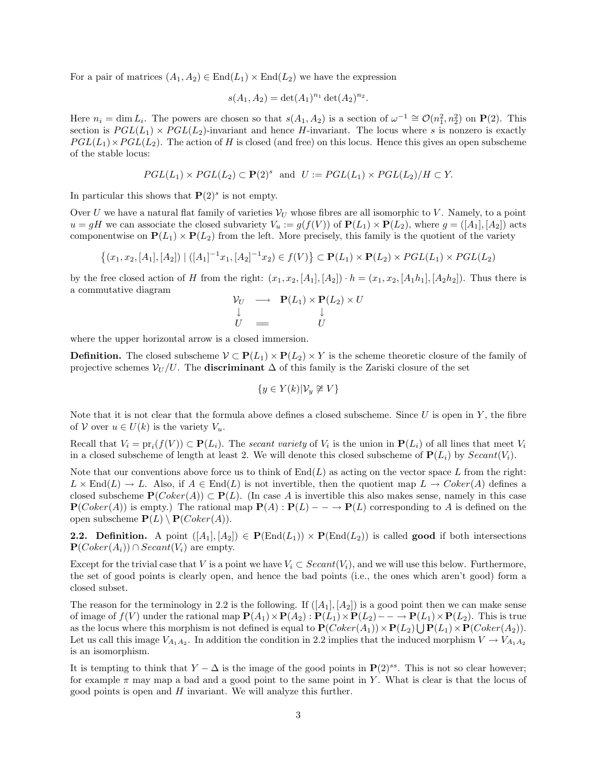For a pair of matrices  $(A_1, A_2) \in \text{End}(L_1) \times \text{End}(L_2)$  we have the expression

$$
s(A_1, A_2) = \det(A_1)^{n_1} \det(A_2)^{n_2}.
$$

Here  $n_i = \dim L_i$ . The powers are chosen so that  $s(A_1, A_2)$  is a section of  $\omega^{-1} \cong \mathcal{O}(n_1^2, n_2^2)$  on  $\mathbf{P}(2)$ . This section is  $PGL(L_1) \times PGL(L_2)$ -invariant and hence H-invariant. The locus where s is nonzero is exactly  $PGL(L_1)\times PGL(L_2)$ . The action of H is closed (and free) on this locus. Hence this gives an open subscheme of the stable locus:

$$
PGL(L_1) \times PGL(L_2) \subset \mathbf{P}(2)^s \text{ and } U := PGL(L_1) \times PGL(L_2)/H \subset Y.
$$

In particular this shows that  $P(2)^s$  is not empty.

Over U we have a natural flat family of varieties  $V_U$  whose fibres are all isomorphic to V. Namely, to a point  $u = gH$  we can associate the closed subvariety  $V_u := g(f(V))$  of  $\mathbf{P}(L_1) \times \mathbf{P}(L_2)$ , where  $g = ([A_1], [A_2])$  acts componentwise on  $P(L_1) \times P(L_2)$  from the left. More precisely, this family is the quotient of the variety

$$
\{(x_1, x_2, [A_1], [A_2]) \mid ([A_1]^{-1}x_1, [A_2]^{-1}x_2) \in f(V)\} \subset \mathbf{P}(L_1) \times \mathbf{P}(L_2) \times PGL(L_1) \times PGL(L_2)
$$

by the free closed action of H from the right:  $(x_1, x_2, [A_1], [A_2]) \cdot h = (x_1, x_2, [A_1h_1], [A_2h_2])$ . Thus there is a commutative diagram

$$
\begin{array}{ccc}\nV_U & \longrightarrow & \mathbf{P}(L_1) \times \mathbf{P}(L_2) \times U \\
\downarrow & & \downarrow \\
U & \equiv & U\n\end{array}
$$

where the upper horizontal arrow is a closed immersion.

**Definition.** The closed subscheme  $V \subset \mathbf{P}(L_1) \times \mathbf{P}(L_2) \times Y$  is the scheme theoretic closure of the family of projective schemes  $V_U/U$ . The **discriminant**  $\Delta$  of this family is the Zariski closure of the set

$$
\{y \in Y(k)| \mathcal{V}_y \not\cong V\}
$$

Note that it is not clear that the formula above defines a closed subscheme. Since  $U$  is open in  $Y$ , the fibre of V over  $u \in U(k)$  is the variety  $V_u$ .

Recall that  $V_i = pr_i(f(V)) \subset \mathbf{P}(L_i)$ . The secant variety of  $V_i$  is the union in  $\mathbf{P}(L_i)$  of all lines that meet  $V_i$ in a closed subscheme of length at least 2. We will denote this closed subscheme of  $\mathbf{P}(L_i)$  by  $Search(V_i)$ .

Note that our conventions above force us to think of  $End(L)$  as acting on the vector space L from the right:  $L \times \text{End}(L) \to L$ . Also, if  $A \in \text{End}(L)$  is not invertible, then the quotient map  $L \to Coker(A)$  defines a closed subscheme  $\mathbf{P}(Coker(A)) \subset \mathbf{P}(L)$ . (In case A is invertible this also makes sense, namely in this case  ${\bf P}(Coker(A))$  is empty.) The rational map  ${\bf P}(A):{\bf P}(L) \longrightarrow {\bf P}(L)$  corresponding to A is defined on the open subscheme  $\mathbf{P}(L) \setminus \mathbf{P}(Coker(A)).$ 

**2.2.** Definition. A point  $([A_1], [A_2]) \in \mathbf{P}(\text{End}(L_1)) \times \mathbf{P}(\text{End}(L_2))$  is called good if both intersections  ${\bf P}(Coker(A_i)) \cap Secant(V_i)$  are empty.

Except for the trivial case that V is a point we have  $V_i \subset Secant(V_i)$ , and we will use this below. Furthermore, the set of good points is clearly open, and hence the bad points (i.e., the ones which aren't good) form a closed subset.

The reason for the terminology in 2.2 is the following. If  $([A_1], [A_2])$  is a good point then we can make sense of image of  $f(V)$  under the rational map  $\mathbf{P}(A_1) \times \mathbf{P}(A_2) : \mathbf{P}(L_1) \times \mathbf{P}(L_2) \longrightarrow \mathbf{P}(L_1) \times \mathbf{P}(L_2)$ . This is true as the locus where this morphism is not defined is equal to  $\mathbf{P}(Coker(A_1)) \times \mathbf{P}(L_2) \bigcup \mathbf{P}(L_1) \times \mathbf{P}(Coker(A_2)).$ Let us call this image  $V_{A_1A_2}$ . In addition the condition in 2.2 implies that the induced morphism  $V \to V_{A_1A_2}$ is an isomorphism.

It is tempting to think that  $Y - \Delta$  is the image of the good points in  $\mathbf{P}(2)^{ss}$ . This is not so clear however; for example  $\pi$  may map a bad and a good point to the same point in Y. What is clear is that the locus of good points is open and  $H$  invariant. We will analyze this further.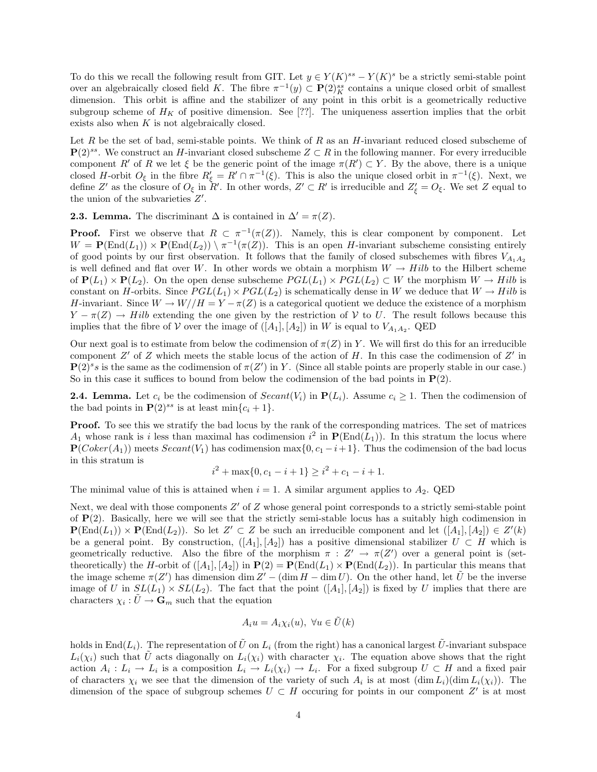To do this we recall the following result from GIT. Let  $y \in Y(K)^{ss} - Y(K)^s$  be a strictly semi-stable point over an algebraically closed field K. The fibre  $\pi^{-1}(y) \subset \mathbf{P}(2)_{K}^{ss}$  contains a unique closed orbit of smallest dimension. This orbit is affine and the stabilizer of any point in this orbit is a geometrically reductive subgroup scheme of  $H_K$  of positive dimension. See [??]. The uniqueness assertion implies that the orbit exists also when  $K$  is not algebraically closed.

Let R be the set of bad, semi-stable points. We think of R as an  $H$ -invariant reduced closed subscheme of  $\mathbf{P}(2)^{ss}$ . We construct an H-invariant closed subscheme  $Z \subset R$  in the following manner. For every irreducible component R' of R we let  $\xi$  be the generic point of the image  $\pi(R') \subset Y$ . By the above, there is a unique closed H-orbit  $O_{\xi}$  in the fibre  $R_{\xi}' = R' \cap \pi^{-1}(\xi)$ . This is also the unique closed orbit in  $\pi^{-1}(\xi)$ . Next, we define Z' as the closure of  $O_{\xi}$  in  $R'$ . In other words,  $Z' \subset R'$  is irreducible and  $Z'_{\xi} = O_{\xi}$ . We set Z equal to the union of the subvarieties  $Z'$ .

**2.3. Lemma.** The discriminant  $\Delta$  is contained in  $\Delta' = \pi(Z)$ .

**Proof.** First we observe that  $R \subset \pi^{-1}(\pi(Z))$ . Namely, this is clear component by component. Let  $W = \mathbf{P}(\text{End}(L_1)) \times \mathbf{P}(\text{End}(L_2)) \setminus \pi^{-1}(\pi(Z)).$  This is an open H-invariant subscheme consisting entirely of good points by our first observation. It follows that the family of closed subschemes with fibres  $V_{A_1A_2}$ is well defined and flat over W. In other words we obtain a morphism  $W \to Hilb$  to the Hilbert scheme of  $P(L_1) \times P(L_2)$ . On the open dense subscheme  $PGL(L_1) \times PGL(L_2) \subset W$  the morphism  $W \to Hilb$  is constant on H-orbits. Since  $PGL(L_1) \times PGL(L_2)$  is schematically dense in W we deduce that  $W \to Hilb$  is H-invariant. Since  $W \to W//H = Y - \pi(Z)$  is a categorical quotient we deduce the existence of a morphism  $Y - \pi(Z) \to Hilb$  extending the one given by the restriction of V to U. The result follows because this implies that the fibre of V over the image of  $([A_1], [A_2])$  in W is equal to  $V_{A_1A_2}$ . QED

Our next goal is to estimate from below the codimension of  $\pi(Z)$  in Y. We will first do this for an irreducible component  $Z'$  of Z which meets the stable locus of the action of H. In this case the codimension of  $Z'$  in  $\mathbf{P}(2)^s s$  is the same as the codimension of  $\pi(Z')$  in Y. (Since all stable points are properly stable in our case.) So in this case it suffices to bound from below the codimension of the bad points in  $P(2)$ .

**2.4. Lemma.** Let  $c_i$  be the codimension of  $Search(V_i)$  in  $P(L_i)$ . Assume  $c_i \geq 1$ . Then the codimension of the bad points in  $\mathbf{P}(2)^{ss}$  is at least min $\{c_i + 1\}.$ 

Proof. To see this we stratify the bad locus by the rank of the corresponding matrices. The set of matrices  $A_1$  whose rank is i less than maximal has codimension  $i^2$  in  $P(\text{End}(L_1))$ . In this stratum the locus where  $\mathbf{P}(Coker(A_1))$  meets  $Secant(V_1)$  has codimension max $\{0, c_1 - i + 1\}$ . Thus the codimension of the bad locus in this stratum is

$$
i2 + \max\{0, c_1 - i + 1\} \ge i2 + c_1 - i + 1.
$$

The minimal value of this is attained when  $i = 1$ . A similar argument applies to  $A_2$ . QED

Next, we deal with those components  $Z'$  of  $Z$  whose general point corresponds to a strictly semi-stable point of  $P(2)$ . Basically, here we will see that the strictly semi-stable locus has a suitably high codimension in  $\mathbf{P}(\text{End}(L_1)) \times \mathbf{P}(\text{End}(L_2))$ . So let  $Z' \subset Z$  be such an irreducible component and let  $([A_1], [A_2]) \in Z'(k)$ be a general point. By construction,  $([A_1], [A_2])$  has a positive dimensional stabilizer  $U \subset H$  which is geometrically reductive. Also the fibre of the morphism  $\pi : Z' \to \pi(Z')$  over a general point is (settheoretically) the H-orbit of  $([A_1], [A_2])$  in  $P(2) = P(End(L_1) \times P(End(L_2))$ . In particular this means that the image scheme  $\pi(Z')$  has dimension dim  $Z' - (\dim H - \dim U)$ . On the other hand, let  $\tilde{U}$  be the inverse image of U in  $SL(L_1) \times SL(L_2)$ . The fact that the point  $([A_1], [A_2])$  is fixed by U implies that there are characters  $\chi_i : \tilde{U} \to \mathbf{G}_m$  such that the equation

$$
A_i u = A_i \chi_i(u), \ \forall u \in \tilde{U}(k)
$$

holds in End( $L_i$ ). The representation of  $\tilde{U}$  on  $L_i$  (from the right) has a canonical largest  $\tilde{U}$ -invariant subspace  $L_i(\chi_i)$  such that  $\tilde{U}$  acts diagonally on  $L_i(\chi_i)$  with character  $\chi_i$ . The equation above shows that the right action  $A_i: L_i \to L_i$  is a composition  $L_i \to L_i(\chi_i) \to L_i$ . For a fixed subgroup  $U \subset H$  and a fixed pair of characters  $\chi_i$  we see that the dimension of the variety of such  $A_i$  is at most  $(\dim L_i)(\dim L_i(\chi_i))$ . The dimension of the space of subgroup schemes  $U \subset H$  occuring for points in our component Z' is at most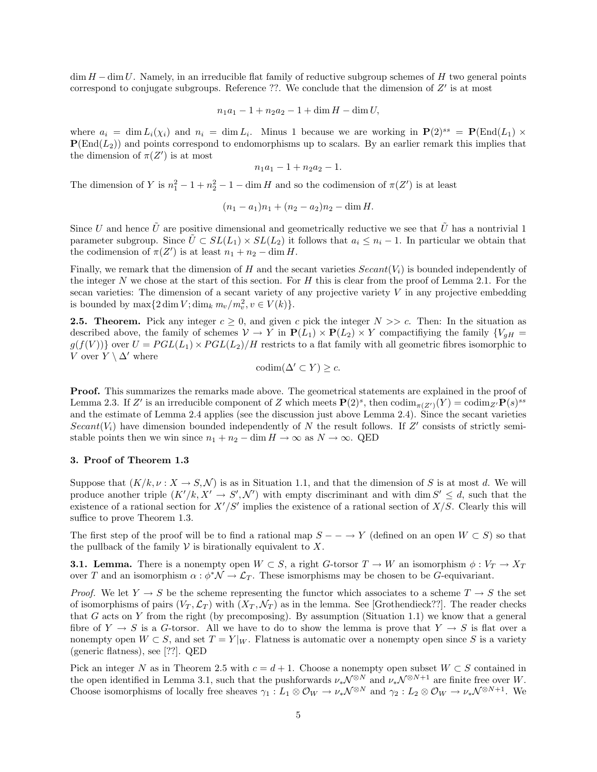$\dim H - \dim U$ . Namely, in an irreducible flat family of reductive subgroup schemes of H two general points correspond to conjugate subgroups. Reference ??. We conclude that the dimension of  $Z'$  is at most

$$
n_1a_1 - 1 + n_2a_2 - 1 + \dim H - \dim U,
$$

where  $a_i = \dim L_i(\chi_i)$  and  $n_i = \dim L_i$ . Minus 1 because we are working in  $\mathbf{P}(2)^{ss} = \mathbf{P}(\text{End}(L_1) \times$  ${\bf P}({\rm End}(L_2))$  and points correspond to endomorphisms up to scalars. By an earlier remark this implies that the dimension of  $\pi(Z')$  is at most

$$
n_1a_1-1+n_2a_2-1.
$$

The dimension of Y is  $n_1^2 - 1 + n_2^2 - 1 - \dim H$  and so the codimension of  $\pi(Z')$  is at least

$$
(n_1 - a_1)n_1 + (n_2 - a_2)n_2 - \dim H.
$$

Since U and hence  $\tilde{U}$  are positive dimensional and geometrically reductive we see that  $\tilde{U}$  has a nontrivial 1 parameter subgroup. Since  $\tilde{U} \subset SL(L_1) \times SL(L_2)$  it follows that  $a_i \leq n_i - 1$ . In particular we obtain that the codimension of  $\pi(Z')$  is at least  $n_1 + n_2 - \dim H$ .

Finally, we remark that the dimension of H and the secant varieties  $Search(V_i)$  is bounded independently of the integer N we chose at the start of this section. For H this is clear from the proof of Lemma 2.1. For the secan varieties: The dimension of a secant variety of any projective variety  $V$  in any projective embedding is bounded by  $\max\{2\dim V; \dim_k m_v/m_v^2, v \in V(k)\}.$ 

**2.5. Theorem.** Pick any integer  $c \ge 0$ , and given c pick the integer  $N \gg c$ . Then: In the situation as described above, the family of schemes  $V \to Y$  in  $P(L_1) \times P(L_2) \times Y$  compactifiying the family  $\{V_{gH} =$  $g(f(V))$  over  $U = PGL(L_1) \times PGL(L_2)/H$  restricts to a flat family with all geometric fibres isomorphic to V over  $Y \setminus \Delta'$  where

$$
\mathrm{codim}(\Delta' \subset Y) \geq c.
$$

Proof. This summarizes the remarks made above. The geometrical statements are explained in the proof of Lemma 2.3. If Z' is an irreducible component of Z which meets  $\mathbf{P}(2)^s$ , then  $\text{codim}_{\pi(Z')}(Y) = \text{codim}_{Z'} \mathbf{P}(s)^{ss}$ and the estimate of Lemma 2.4 applies (see the discussion just above Lemma 2.4). Since the secant varieties Secant( $V_i$ ) have dimension bounded independently of N the result follows. If Z' consists of strictly semistable points then we win since  $n_1 + n_2 - \dim H \to \infty$  as  $N \to \infty$ . QED

## 3. Proof of Theorem 1.3

Suppose that  $(K/k, \nu : X \to S, \mathcal{N})$  is as in Situation 1.1, and that the dimension of S is at most d. We will produce another triple  $(K'/k, X' \to S', \mathcal{N}')$  with empty discriminant and with dim  $S' \leq d$ , such that the existence of a rational section for  $X'/S'$  implies the existence of a rational section of  $X/S$ . Clearly this will suffice to prove Theorem 1.3.

The first step of the proof will be to find a rational map  $S - \rightarrow Y$  (defined on an open  $W \subset S$ ) so that the pullback of the family  $V$  is birationally equivalent to  $X$ .

**3.1. Lemma.** There is a nonempty open  $W \subset S$ , a right G-torsor  $T \to W$  an isomorphism  $\phi: V_T \to X_T$ over T and an isomorphism  $\alpha : \phi^* \mathcal{N} \to \mathcal{L}_T$ . These ismorphisms may be chosen to be G-equivariant.

*Proof.* We let  $Y \to S$  be the scheme representing the functor which associates to a scheme  $T \to S$  the set of isomorphisms of pairs  $(V_T, \mathcal{L}_T)$  with  $(X_T, \mathcal{N}_T)$  as in the lemma. See [Grothendieck??]. The reader checks that G acts on Y from the right (by precomposing). By assumption (Situation 1.1) we know that a general fibre of  $Y \to S$  is a G-torsor. All we have to do to show the lemma is prove that  $Y \to S$  is flat over a nonempty open  $W \subset S$ , and set  $T = Y|_W$ . Flatness is automatic over a nonempty open since S is a variety (generic flatness), see [??]. QED

Pick an integer N as in Theorem 2.5 with  $c = d + 1$ . Choose a nonempty open subset  $W \subset S$  contained in the open identified in Lemma 3.1, such that the pushforwards  $\nu_*\mathcal{N}^{\otimes N}$  and  $\nu_*\mathcal{N}^{\otimes N+1}$  are finite free over W. Choose isomorphisms of locally free sheaves  $\gamma_1 : L_1 \otimes \mathcal{O}_W \to \nu_*\mathcal{N}^{\otimes N}$  and  $\gamma_2 : L_2 \otimes \mathcal{O}_W \to \nu_*\mathcal{N}^{\otimes N+1}$ . We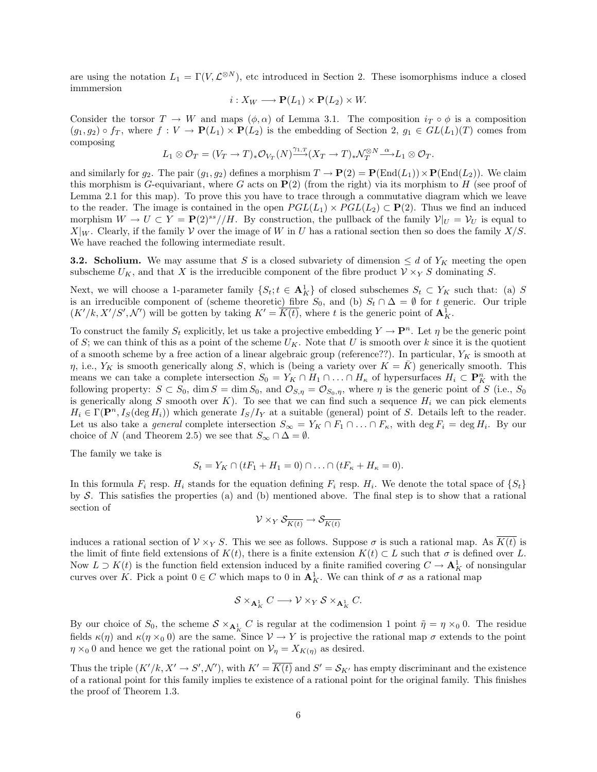are using the notation  $L_1 = \Gamma(V, \mathcal{L}^{\otimes N})$ , etc introduced in Section 2. These isomorphisms induce a closed immmersion

$$
i: X_W \longrightarrow \mathbf{P}(L_1) \times \mathbf{P}(L_2) \times W.
$$

Consider the torsor  $T \to W$  and maps  $(\phi, \alpha)$  of Lemma 3.1. The composition  $i_T \circ \phi$  is a composition  $(g_1, g_2) \circ f_T$ , where  $f: V \to \mathbf{P}(L_1) \times \mathbf{P}(L_2)$  is the embedding of Section 2,  $g_1 \in GL(L_1)(T)$  comes from composing

$$
L_1\otimes \mathcal{O}_T=(V_T\to T)_*\mathcal{O}_{V_T}(N)^{\gamma_{1,T}}_{\longrightarrow}(X_T\to T)_*\mathcal{N}_T^{\otimes N}\mathop{\longrightarrow}\limits^{\alpha} L_1\otimes \mathcal{O}_T.
$$

and similarly for  $g_2$ . The pair  $(g_1, g_2)$  defines a morphism  $T \to \mathbf{P}(2) = \mathbf{P}(\text{End}(L_1)) \times \mathbf{P}(\text{End}(L_2))$ . We claim this morphism is G-equivariant, where G acts on  $P(2)$  (from the right) via its morphism to H (see proof of Lemma 2.1 for this map). To prove this you have to trace through a commutative diagram which we leave to the reader. The image is contained in the open  $PGL(L_1) \times PGL(L_2) \subset \mathbf{P}(2)$ . Thus we find an induced morphism  $W \to U \subset Y = \mathbf{P}(2)^{ss} / H$ . By construction, the pullback of the family  $\mathcal{V}|_U = \mathcal{V}_U$  is equal to  $X|_W$ . Clearly, if the family V over the image of W in U has a rational section then so does the family  $X/S$ . We have reached the following intermediate result.

**3.2. Scholium.** We may assume that S is a closed subvariety of dimension  $\leq d$  of  $Y_K$  meeting the open subscheme  $U_K$ , and that X is the irreducible component of the fibre product  $V \times_Y S$  dominating S.

Next, we will choose a 1-parameter family  $\{S_t; t \in \mathbf{A}_K^1\}$  of closed subschemes  $S_t \subset Y_K$  such that: (a) S is an irreducible component of (scheme theoretic) fibre  $S_0$ , and (b)  $S_t \cap \Delta = \emptyset$  for t generic. Our triple  $(K'/k, X'/S', \mathcal{N}')$  will be gotten by taking  $K' = \overline{K(t)}$ , where t is the generic point of  $\mathbf{A}^1_K$ .

To construct the family  $S_t$  explicitly, let us take a projective embedding  $Y \to \mathbf{P}^n$ . Let  $\eta$  be the generic point of S; we can think of this as a point of the scheme  $U_K$ . Note that U is smooth over k since it is the quotient of a smooth scheme by a free action of a linear algebraic group (reference??). In particular,  $Y_K$  is smooth at  $\eta$ , i.e.,  $Y_K$  is smooth generically along S, which is (being a variety over  $K = \overline{K}$ ) generically smooth. This means we can take a complete intersection  $S_0 = Y_K \cap H_1 \cap \ldots \cap H_\kappa$  of hypersurfaces  $H_i \subset \mathbf{P}_K^n$  with the following property:  $S \subset S_0$ , dim  $S = \dim S_0$ , and  $\mathcal{O}_{S,\eta} = \mathcal{O}_{S_0,\eta}$ , where  $\eta$  is the generic point of S (i.e.,  $S_0$ is generically along S smooth over K). To see that we can find such a sequence  $H_i$  we can pick elements  $H_i \in \Gamma(\mathbf{P}^n, I_S(\deg H_i))$  which generate  $I_S/I_Y$  at a suitable (general) point of S. Details left to the reader. Let us also take a *general* complete intersection  $S_{\infty} = Y_K \cap F_1 \cap \ldots \cap F_{\kappa}$ , with  $\deg F_i = \deg H_i$ . By our choice of N (and Theorem 2.5) we see that  $S_{\infty} \cap \Delta = \emptyset$ .

The family we take is

$$
S_t = Y_K \cap (tF_1 + H_1 = 0) \cap \ldots \cap (tF_{\kappa} + H_{\kappa} = 0).
$$

In this formula  $F_i$  resp.  $H_i$  stands for the equation defining  $F_i$  resp.  $H_i$ . We denote the total space of  $\{S_t\}$ by S. This satisfies the properties (a) and (b) mentioned above. The final step is to show that a rational section of

$$
\mathcal{V} \times_Y \mathcal{S}_{\overline{K(t)}} \to \mathcal{S}_{\overline{K(t)}}
$$

induces a rational section of  $V \times_Y S$ . This we see as follows. Suppose  $\sigma$  is such a rational map. As  $K(t)$  is the limit of finte field extensions of  $K(t)$ , there is a finite extension  $K(t) \subset L$  such that  $\sigma$  is defined over L. Now  $L \supset K(t)$  is the function field extension induced by a finite ramified covering  $C \to \mathbf{A}^1_K$  of nonsingular curves over K. Pick a point  $0 \in C$  which maps to 0 in  $A_K^1$ . We can think of  $\sigma$  as a rational map

$$
\mathcal{S} \times_{\mathbf{A}^1_K} C \longrightarrow \mathcal{V} \times_Y \mathcal{S} \times_{\mathbf{A}^1_K} C.
$$

By our choice of  $S_0$ , the scheme  $S \times_{\mathbf{A}^1_K} C$  is regular at the codimension 1 point  $\tilde{\eta} = \eta \times_0 0$ . The residue fields  $\kappa(\eta)$  and  $\kappa(\eta \times_0 0)$  are the same. Since  $V \to Y$  is projective the rational map  $\sigma$  extends to the point  $\eta \times_0 0$  and hence we get the rational point on  $\mathcal{V}_{\eta} = X_{K(\eta)}$  as desired.

Thus the triple  $(K'/k, X' \to S', \mathcal{N}')$ , with  $K' = \overline{K(t)}$  and  $S' = \mathcal{S}_{K'}$  has empty discriminant and the existence of a rational point for this family implies te existence of a rational point for the original family. This finishes the proof of Theorem 1.3.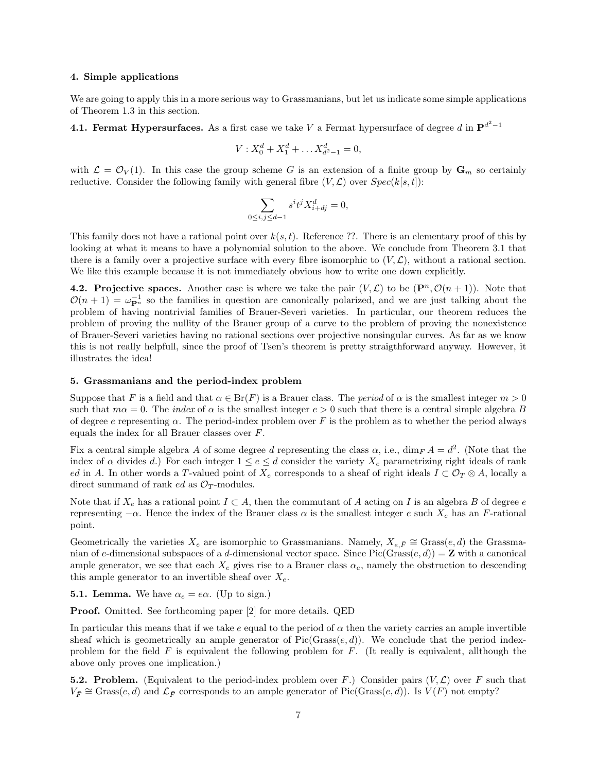#### 4. Simple applications

We are going to apply this in a more serious way to Grassmanians, but let us indicate some simple applications of Theorem 1.3 in this section.

4.1. Fermat Hypersurfaces. As a first case we take V a Fermat hypersurface of degree  $d$  in  $\mathbf{P}^{d^2-1}$ 

$$
V: X_0^d + X_1^d + \dots X_{d^2 - 1}^d = 0,
$$

with  $\mathcal{L} = \mathcal{O}_V(1)$ . In this case the group scheme G is an extension of a finite group by  $\mathbf{G}_m$  so certainly reductive. Consider the following family with general fibre  $(V, \mathcal{L})$  over  $Spec(k[s, t])$ :

$$
\sum_{0 \le i,j \le d-1} s^i t^j X_{i+dj}^d = 0,
$$

This family does not have a rational point over  $k(s, t)$ . Reference ??. There is an elementary proof of this by looking at what it means to have a polynomial solution to the above. We conclude from Theorem 3.1 that there is a family over a projective surface with every fibre isomorphic to  $(V, \mathcal{L})$ , without a rational section. We like this example because it is not immediately obvious how to write one down explicitly.

**4.2. Projective spaces.** Another case is where we take the pair  $(V, \mathcal{L})$  to be  $(\mathbf{P}^n, \mathcal{O}(n+1))$ . Note that  $\mathcal{O}(n+1) = \omega_{\mathbf{P}^n}^{-1}$  so the families in question are canonically polarized, and we are just talking about the problem of having nontrivial families of Brauer-Severi varieties. In particular, our theorem reduces the problem of proving the nullity of the Brauer group of a curve to the problem of proving the nonexistence of Brauer-Severi varieties having no rational sections over projective nonsingular curves. As far as we know this is not really helpfull, since the proof of Tsen's theorem is pretty straigthforward anyway. However, it illustrates the idea!

# 5. Grassmanians and the period-index problem

Suppose that F is a field and that  $\alpha \in Br(F)$  is a Brauer class. The *period* of  $\alpha$  is the smallest integer  $m > 0$ such that  $m\alpha = 0$ . The *index* of  $\alpha$  is the smallest integer  $e > 0$  such that there is a central simple algebra B of degree e representing  $\alpha$ . The period-index problem over F is the problem as to whether the period always equals the index for all Brauer classes over F.

Fix a central simple algebra A of some degree d representing the class  $\alpha$ , i.e., dim<sub>F</sub>  $A = d^2$ . (Note that the index of  $\alpha$  divides d.) For each integer  $1 \le e \le d$  consider the variety  $X_e$  parametrizing right ideals of rank ed in A. In other words a T-valued point of  $X_e$  corresponds to a sheaf of right ideals  $I \subset \mathcal{O}_T \otimes A$ , locally a direct summand of rank *ed* as  $\mathcal{O}_T$ -modules.

Note that if  $X_e$  has a rational point  $I \subset A$ , then the commutant of A acting on I is an algebra B of degree e representing  $-\alpha$ . Hence the index of the Brauer class  $\alpha$  is the smallest integer e such  $X_e$  has an F-rational point.

Geometrically the varieties  $X_e$  are isomorphic to Grassmanians. Namely,  $X_{e,\bar{F}} \cong$  Grass $(e,d)$  the Grassmanian of e-dimensional subspaces of a d-dimensional vector space. Since Pic(Grass $(e, d)$ ) = **Z** with a canonical ample generator, we see that each  $X_e$  gives rise to a Brauer class  $\alpha_e$ , namely the obstruction to descending this ample generator to an invertible sheaf over  $X_e$ .

**5.1. Lemma.** We have  $\alpha_e = e\alpha$ . (Up to sign.)

Proof. Omitted. See forthcoming paper [2] for more details. QED

In particular this means that if we take  $e$  equal to the period of  $\alpha$  then the variety carries an ample invertible sheaf which is geometrically an ample generator of  $Pic(Grass(e, d))$ . We conclude that the period indexproblem for the field  $F$  is equivalent the following problem for  $F$ . (It really is equivalent, allthough the above only proves one implication.)

**5.2. Problem.** (Equivalent to the period-index problem over F.) Consider pairs  $(V, \mathcal{L})$  over F such that  $V_{\bar{F}} \cong$  Grass $(e, d)$  and  $\mathcal{L}_{\bar{F}}$  corresponds to an ample generator of Pic(Grass $(e, d)$ ). Is  $V(F)$  not empty?